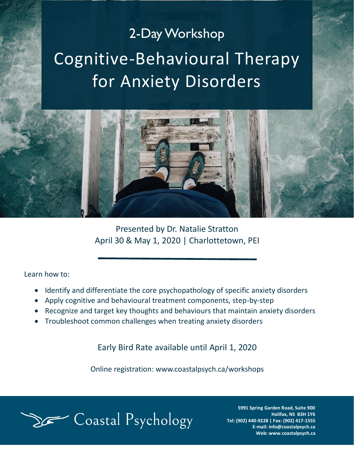## 2-Day Workshop Cognitive-Behavioural Therapy for Anxiety Disorders



Presented by Dr. Natalie Stratton April 30 & May 1, 2020 | Charlottetown, PEI

Learn how to:

- Identify and differentiate the core psychopathology of specific anxiety disorders
- Apply cognitive and behavioural treatment components, step-by-step
- Recognize and target key thoughts and behaviours that maintain anxiety disorders
- Troubleshoot common challenges when treating anxiety disorders

Early Bird Rate available until April 1, 2020

Online registration: www.coastalpsych.ca/workshops



**5991 Spring Garden Road, Suite 900 Halifax, NS B3H 1Y6 Tel: (902) 440-9228 | Fax: (902) 417-1555 E-mail: info@coastalpsych.ca Web: www.coastalpsych.ca**